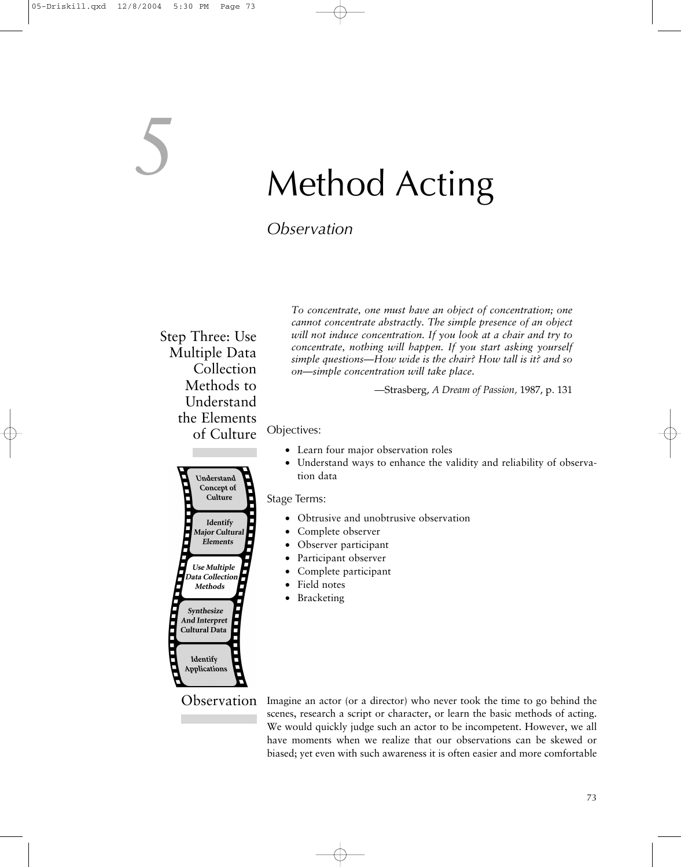5

# Method Acting

*Observation*

Step Three: Use Multiple Data Collection Methods to Understand the Elements of Culture *To concentrate, one must have an object of concentration; one cannot concentrate abstractly. The simple presence of an object will not induce concentration. If you look at a chair and try to concentrate, nothing will happen. If you start asking yourself simple questions—How wide is the chair? How tall is it? and so on—simple concentration will take place.*

—Strasberg, *A Dream of Passion,* 1987, p. 131

#### Objectives:

- Learn four major observation roles
- Understand ways to enhance the validity and reliability of observation data

Stage Terms:

- Obtrusive and unobtrusive observation
- Complete observer
- Observer participant
- Participant observer
- Complete participant
- Field notes
- **Bracketing**

Observation Imagine an actor (or a director) who never took the time to go behind the scenes, research a script or character, or learn the basic methods of acting. We would quickly judge such an actor to be incompetent. However, we all have moments when we realize that our observations can be skewed or biased; yet even with such awareness it is often easier and more comfortable

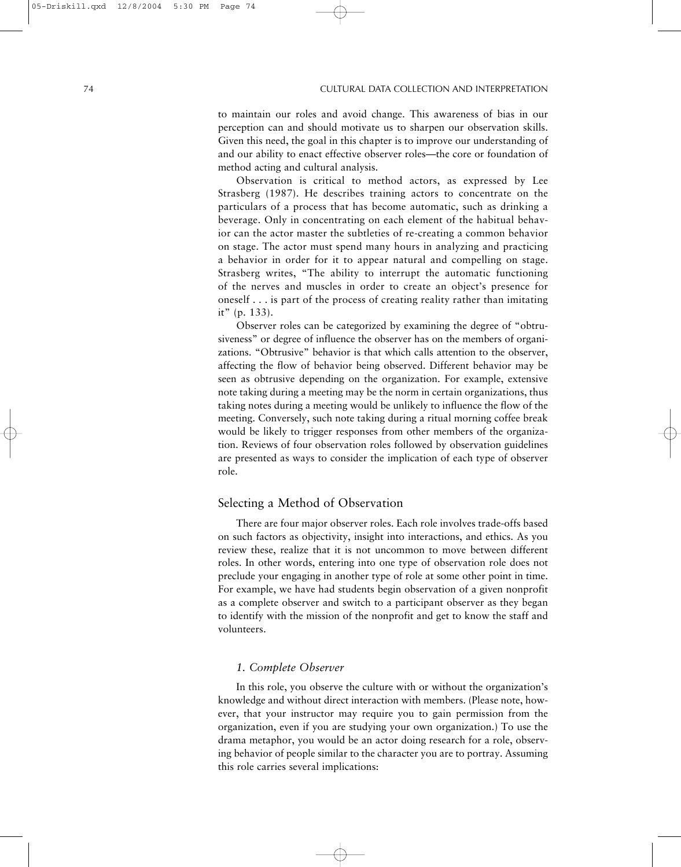to maintain our roles and avoid change. This awareness of bias in our perception can and should motivate us to sharpen our observation skills. Given this need, the goal in this chapter is to improve our understanding of and our ability to enact effective observer roles—the core or foundation of method acting and cultural analysis.

Observation is critical to method actors, as expressed by Lee Strasberg (1987). He describes training actors to concentrate on the particulars of a process that has become automatic, such as drinking a beverage. Only in concentrating on each element of the habitual behavior can the actor master the subtleties of re-creating a common behavior on stage. The actor must spend many hours in analyzing and practicing a behavior in order for it to appear natural and compelling on stage. Strasberg writes, "The ability to interrupt the automatic functioning of the nerves and muscles in order to create an object's presence for oneself . . . is part of the process of creating reality rather than imitating it" (p. 133).

Observer roles can be categorized by examining the degree of "obtrusiveness" or degree of influence the observer has on the members of organizations. "Obtrusive" behavior is that which calls attention to the observer, affecting the flow of behavior being observed. Different behavior may be seen as obtrusive depending on the organization. For example, extensive note taking during a meeting may be the norm in certain organizations, thus taking notes during a meeting would be unlikely to influence the flow of the meeting. Conversely, such note taking during a ritual morning coffee break would be likely to trigger responses from other members of the organization. Reviews of four observation roles followed by observation guidelines are presented as ways to consider the implication of each type of observer role.

#### Selecting a Method of Observation

There are four major observer roles. Each role involves trade-offs based on such factors as objectivity, insight into interactions, and ethics. As you review these, realize that it is not uncommon to move between different roles. In other words, entering into one type of observation role does not preclude your engaging in another type of role at some other point in time. For example, we have had students begin observation of a given nonprofit as a complete observer and switch to a participant observer as they began to identify with the mission of the nonprofit and get to know the staff and volunteers.

#### *1. Complete Observer*

In this role, you observe the culture with or without the organization's knowledge and without direct interaction with members. (Please note, however, that your instructor may require you to gain permission from the organization, even if you are studying your own organization.) To use the drama metaphor, you would be an actor doing research for a role, observing behavior of people similar to the character you are to portray. Assuming this role carries several implications:

05-Driskill.qxd 12/8/2004 5:30 PM Page 74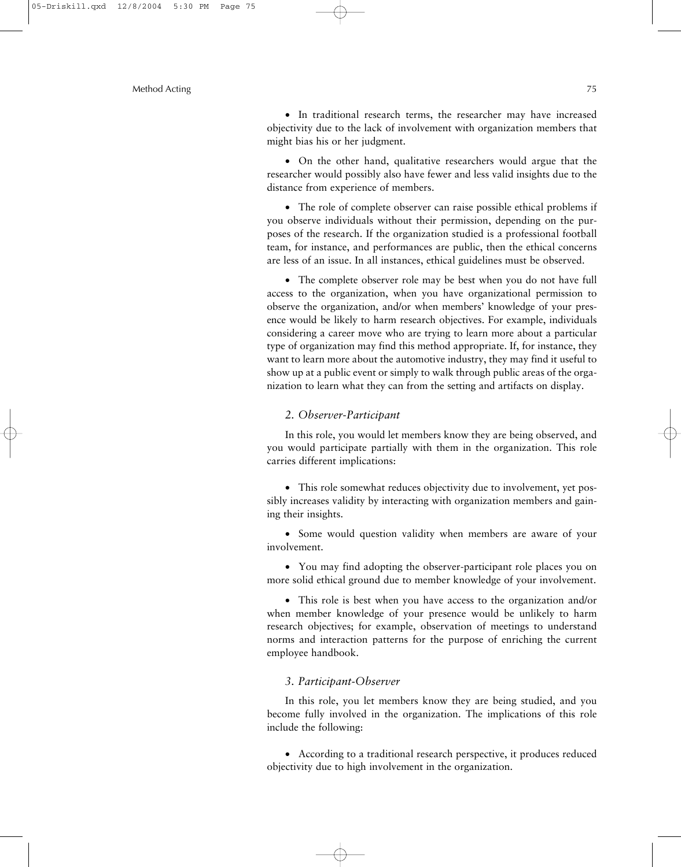• In traditional research terms, the researcher may have increased objectivity due to the lack of involvement with organization members that might bias his or her judgment.

• On the other hand, qualitative researchers would argue that the researcher would possibly also have fewer and less valid insights due to the distance from experience of members.

• The role of complete observer can raise possible ethical problems if you observe individuals without their permission, depending on the purposes of the research. If the organization studied is a professional football team, for instance, and performances are public, then the ethical concerns are less of an issue. In all instances, ethical guidelines must be observed.

• The complete observer role may be best when you do not have full access to the organization, when you have organizational permission to observe the organization, and/or when members' knowledge of your presence would be likely to harm research objectives. For example, individuals considering a career move who are trying to learn more about a particular type of organization may find this method appropriate. If, for instance, they want to learn more about the automotive industry, they may find it useful to show up at a public event or simply to walk through public areas of the organization to learn what they can from the setting and artifacts on display.

#### *2. Observer-Participant*

In this role, you would let members know they are being observed, and you would participate partially with them in the organization. This role carries different implications:

• This role somewhat reduces objectivity due to involvement, yet possibly increases validity by interacting with organization members and gaining their insights.

• Some would question validity when members are aware of your involvement.

• You may find adopting the observer-participant role places you on more solid ethical ground due to member knowledge of your involvement.

• This role is best when you have access to the organization and/or when member knowledge of your presence would be unlikely to harm research objectives; for example, observation of meetings to understand norms and interaction patterns for the purpose of enriching the current employee handbook.

#### *3. Participant-Observer*

In this role, you let members know they are being studied, and you become fully involved in the organization. The implications of this role include the following:

• According to a traditional research perspective, it produces reduced objectivity due to high involvement in the organization.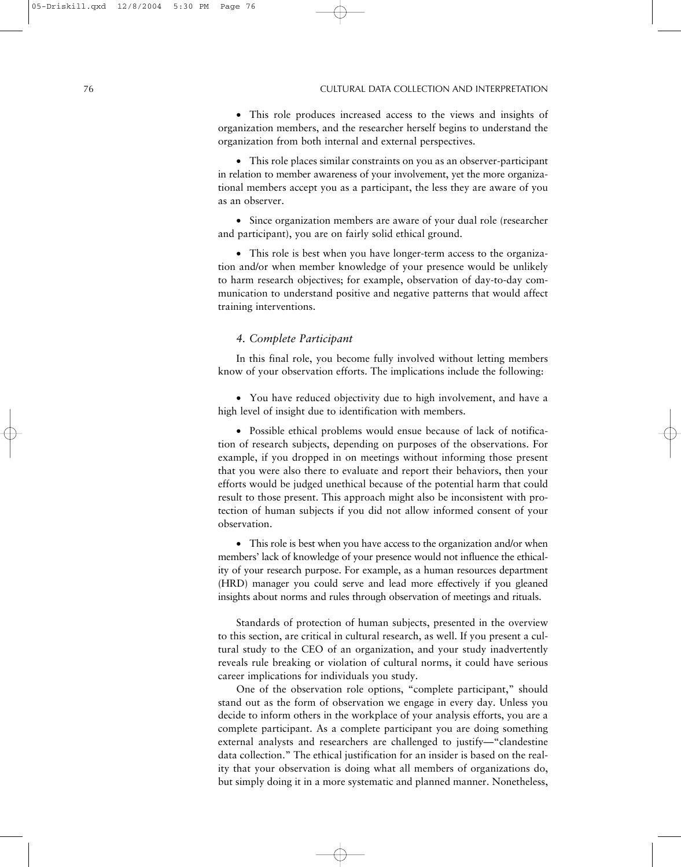• This role produces increased access to the views and insights of organization members, and the researcher herself begins to understand the organization from both internal and external perspectives.

• This role places similar constraints on you as an observer-participant in relation to member awareness of your involvement, yet the more organizational members accept you as a participant, the less they are aware of you as an observer.

• Since organization members are aware of your dual role (researcher and participant), you are on fairly solid ethical ground.

• This role is best when you have longer-term access to the organization and/or when member knowledge of your presence would be unlikely to harm research objectives; for example, observation of day-to-day communication to understand positive and negative patterns that would affect training interventions.

#### *4. Complete Participant*

In this final role, you become fully involved without letting members know of your observation efforts. The implications include the following:

• You have reduced objectivity due to high involvement, and have a high level of insight due to identification with members.

• Possible ethical problems would ensue because of lack of notification of research subjects, depending on purposes of the observations. For example, if you dropped in on meetings without informing those present that you were also there to evaluate and report their behaviors, then your efforts would be judged unethical because of the potential harm that could result to those present. This approach might also be inconsistent with protection of human subjects if you did not allow informed consent of your observation.

• This role is best when you have access to the organization and/or when members' lack of knowledge of your presence would not influence the ethicality of your research purpose. For example, as a human resources department (HRD) manager you could serve and lead more effectively if you gleaned insights about norms and rules through observation of meetings and rituals.

Standards of protection of human subjects, presented in the overview to this section, are critical in cultural research, as well. If you present a cultural study to the CEO of an organization, and your study inadvertently reveals rule breaking or violation of cultural norms, it could have serious career implications for individuals you study.

One of the observation role options, "complete participant," should stand out as the form of observation we engage in every day. Unless you decide to inform others in the workplace of your analysis efforts, you are a complete participant. As a complete participant you are doing something external analysts and researchers are challenged to justify—"clandestine data collection." The ethical justification for an insider is based on the reality that your observation is doing what all members of organizations do, but simply doing it in a more systematic and planned manner. Nonetheless,

05-Driskill.qxd 12/8/2004 5:30 PM Page 76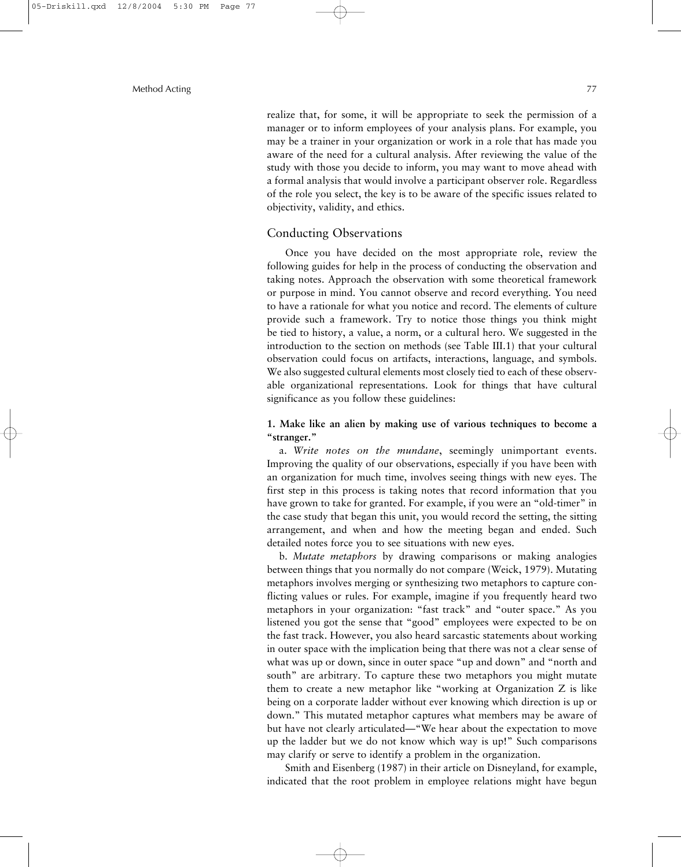realize that, for some, it will be appropriate to seek the permission of a manager or to inform employees of your analysis plans. For example, you may be a trainer in your organization or work in a role that has made you aware of the need for a cultural analysis. After reviewing the value of the study with those you decide to inform, you may want to move ahead with a formal analysis that would involve a participant observer role. Regardless of the role you select, the key is to be aware of the specific issues related to objectivity, validity, and ethics.

#### Conducting Observations

Once you have decided on the most appropriate role, review the following guides for help in the process of conducting the observation and taking notes. Approach the observation with some theoretical framework or purpose in mind. You cannot observe and record everything. You need to have a rationale for what you notice and record. The elements of culture provide such a framework. Try to notice those things you think might be tied to history, a value, a norm, or a cultural hero. We suggested in the introduction to the section on methods (see Table III.1) that your cultural observation could focus on artifacts, interactions, language, and symbols. We also suggested cultural elements most closely tied to each of these observable organizational representations. Look for things that have cultural significance as you follow these guidelines:

#### **1. Make like an alien by making use of various techniques to become a "stranger."**

a. *Write notes on the mundane*, seemingly unimportant events. Improving the quality of our observations, especially if you have been with an organization for much time, involves seeing things with new eyes. The first step in this process is taking notes that record information that you have grown to take for granted. For example, if you were an "old-timer" in the case study that began this unit, you would record the setting, the sitting arrangement, and when and how the meeting began and ended. Such detailed notes force you to see situations with new eyes.

b. *Mutate metaphors* by drawing comparisons or making analogies between things that you normally do not compare (Weick, 1979). Mutating metaphors involves merging or synthesizing two metaphors to capture conflicting values or rules. For example, imagine if you frequently heard two metaphors in your organization: "fast track" and "outer space." As you listened you got the sense that "good" employees were expected to be on the fast track. However, you also heard sarcastic statements about working in outer space with the implication being that there was not a clear sense of what was up or down, since in outer space "up and down" and "north and south" are arbitrary. To capture these two metaphors you might mutate them to create a new metaphor like "working at Organization Z is like being on a corporate ladder without ever knowing which direction is up or down." This mutated metaphor captures what members may be aware of but have not clearly articulated—"We hear about the expectation to move up the ladder but we do not know which way is up!" Such comparisons may clarify or serve to identify a problem in the organization.

Smith and Eisenberg (1987) in their article on Disneyland, for example, indicated that the root problem in employee relations might have begun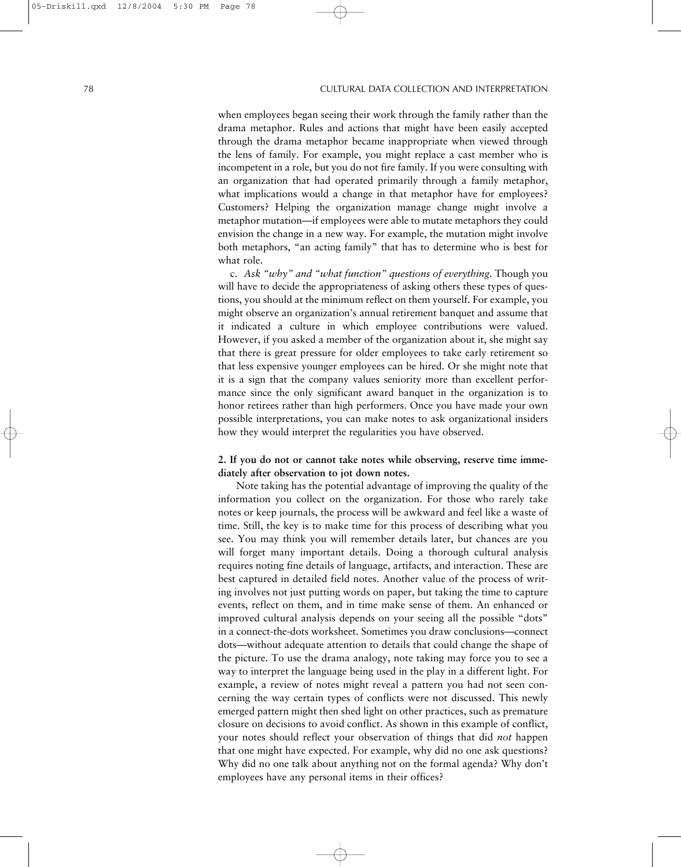when employees began seeing their work through the family rather than the drama metaphor. Rules and actions that might have been easily accepted through the drama metaphor became inappropriate when viewed through the lens of family. For example, you might replace a cast member who is incompetent in a role, but you do not fire family. If you were consulting with an organization that had operated primarily through a family metaphor, what implications would a change in that metaphor have for employees? Customers? Helping the organization manage change might involve a metaphor mutation—if employees were able to mutate metaphors they could envision the change in a new way. For example, the mutation might involve both metaphors, "an acting family" that has to determine who is best for what role.

c. *Ask "why" and "what function" questions of everything.* Though you will have to decide the appropriateness of asking others these types of questions, you should at the minimum reflect on them yourself. For example, you might observe an organization's annual retirement banquet and assume that it indicated a culture in which employee contributions were valued. However, if you asked a member of the organization about it, she might say that there is great pressure for older employees to take early retirement so that less expensive younger employees can be hired. Or she might note that it is a sign that the company values seniority more than excellent performance since the only significant award banquet in the organization is to honor retirees rather than high performers. Once you have made your own possible interpretations, you can make notes to ask organizational insiders how they would interpret the regularities you have observed.

#### **2. If you do not or cannot take notes while observing, reserve time immediately after observation to jot down notes.**

Note taking has the potential advantage of improving the quality of the information you collect on the organization. For those who rarely take notes or keep journals, the process will be awkward and feel like a waste of time. Still, the key is to make time for this process of describing what you see. You may think you will remember details later, but chances are you will forget many important details. Doing a thorough cultural analysis requires noting fine details of language, artifacts, and interaction. These are best captured in detailed field notes. Another value of the process of writing involves not just putting words on paper, but taking the time to capture events, reflect on them, and in time make sense of them. An enhanced or improved cultural analysis depends on your seeing all the possible "dots" in a connect-the-dots worksheet. Sometimes you draw conclusions—connect dots—without adequate attention to details that could change the shape of the picture. To use the drama analogy, note taking may force you to see a way to interpret the language being used in the play in a different light. For example, a review of notes might reveal a pattern you had not seen concerning the way certain types of conflicts were not discussed. This newly emerged pattern might then shed light on other practices, such as premature closure on decisions to avoid conflict. As shown in this example of conflict, your notes should reflect your observation of things that did *not* happen that one might have expected. For example, why did no one ask questions? Why did no one talk about anything not on the formal agenda? Why don't employees have any personal items in their offices?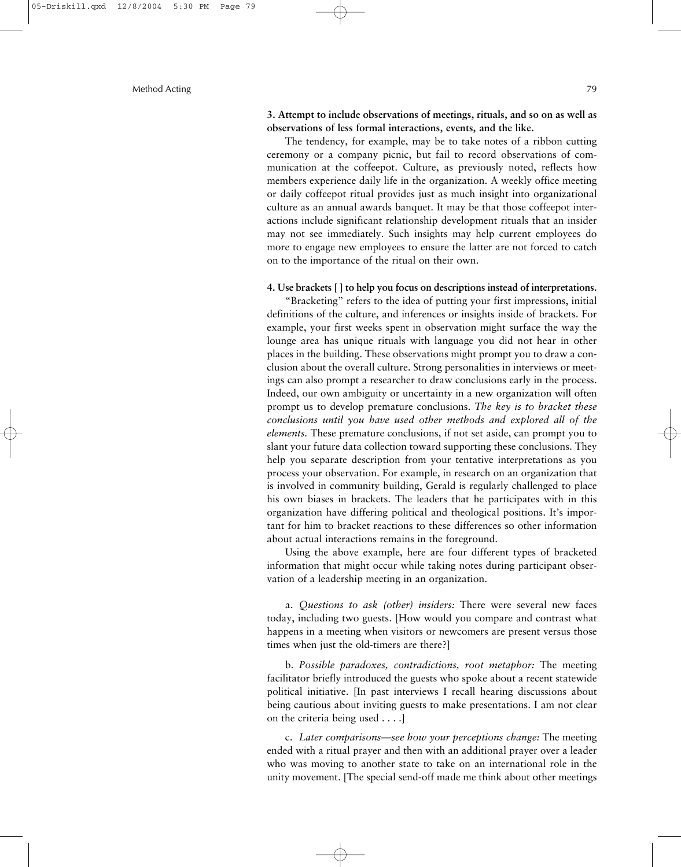**3. Attempt to include observations of meetings, rituals, and so on as well as observations of less formal interactions, events, and the like.**

The tendency, for example, may be to take notes of a ribbon cutting ceremony or a company picnic, but fail to record observations of communication at the coffeepot. Culture, as previously noted, reflects how members experience daily life in the organization. A weekly office meeting or daily coffeepot ritual provides just as much insight into organizational culture as an annual awards banquet. It may be that those coffeepot interactions include significant relationship development rituals that an insider may not see immediately. Such insights may help current employees do more to engage new employees to ensure the latter are not forced to catch on to the importance of the ritual on their own.

#### **4. Use brackets [ ] to help you focus on descriptions instead of interpretations.**

"Bracketing" refers to the idea of putting your first impressions, initial definitions of the culture, and inferences or insights inside of brackets. For example, your first weeks spent in observation might surface the way the lounge area has unique rituals with language you did not hear in other places in the building. These observations might prompt you to draw a conclusion about the overall culture. Strong personalities in interviews or meetings can also prompt a researcher to draw conclusions early in the process. Indeed, our own ambiguity or uncertainty in a new organization will often prompt us to develop premature conclusions. *The key is to bracket these conclusions until you have used other methods and explored all of the elements.* These premature conclusions, if not set aside, can prompt you to slant your future data collection toward supporting these conclusions. They help you separate description from your tentative interpretations as you process your observation. For example, in research on an organization that is involved in community building, Gerald is regularly challenged to place his own biases in brackets. The leaders that he participates with in this organization have differing political and theological positions. It's important for him to bracket reactions to these differences so other information about actual interactions remains in the foreground.

Using the above example, here are four different types of bracketed information that might occur while taking notes during participant observation of a leadership meeting in an organization.

a. *Questions to ask (other) insiders:* There were several new faces today, including two guests. [How would you compare and contrast what happens in a meeting when visitors or newcomers are present versus those times when just the old-timers are there?]

b. *Possible paradoxes, contradictions, root metaphor:* The meeting facilitator briefly introduced the guests who spoke about a recent statewide political initiative. [In past interviews I recall hearing discussions about being cautious about inviting guests to make presentations. I am not clear on the criteria being used . . . .]

c. *Later comparisons—see how your perceptions change:* The meeting ended with a ritual prayer and then with an additional prayer over a leader who was moving to another state to take on an international role in the unity movement. [The special send-off made me think about other meetings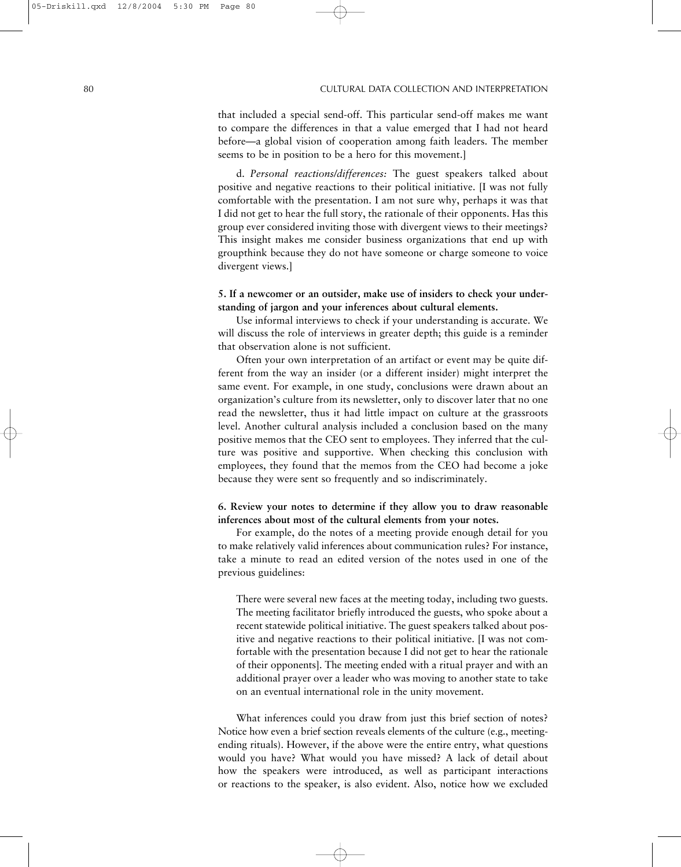that included a special send-off. This particular send-off makes me want to compare the differences in that a value emerged that I had not heard before—a global vision of cooperation among faith leaders. The member seems to be in position to be a hero for this movement.]

d. *Personal reactions/differences:* The guest speakers talked about positive and negative reactions to their political initiative. [I was not fully comfortable with the presentation. I am not sure why, perhaps it was that I did not get to hear the full story, the rationale of their opponents. Has this group ever considered inviting those with divergent views to their meetings? This insight makes me consider business organizations that end up with groupthink because they do not have someone or charge someone to voice divergent views.]

#### **5. If a newcomer or an outsider, make use of insiders to check your understanding of jargon and your inferences about cultural elements.**

Use informal interviews to check if your understanding is accurate. We will discuss the role of interviews in greater depth; this guide is a reminder that observation alone is not sufficient.

Often your own interpretation of an artifact or event may be quite different from the way an insider (or a different insider) might interpret the same event. For example, in one study, conclusions were drawn about an organization's culture from its newsletter, only to discover later that no one read the newsletter, thus it had little impact on culture at the grassroots level. Another cultural analysis included a conclusion based on the many positive memos that the CEO sent to employees. They inferred that the culture was positive and supportive. When checking this conclusion with employees, they found that the memos from the CEO had become a joke because they were sent so frequently and so indiscriminately.

### **6. Review your notes to determine if they allow you to draw reasonable inferences about most of the cultural elements from your notes.**

For example, do the notes of a meeting provide enough detail for you to make relatively valid inferences about communication rules? For instance, take a minute to read an edited version of the notes used in one of the previous guidelines:

There were several new faces at the meeting today, including two guests. The meeting facilitator briefly introduced the guests, who spoke about a recent statewide political initiative. The guest speakers talked about positive and negative reactions to their political initiative. [I was not comfortable with the presentation because I did not get to hear the rationale of their opponents]. The meeting ended with a ritual prayer and with an additional prayer over a leader who was moving to another state to take on an eventual international role in the unity movement.

What inferences could you draw from just this brief section of notes? Notice how even a brief section reveals elements of the culture (e.g., meetingending rituals). However, if the above were the entire entry, what questions would you have? What would you have missed? A lack of detail about how the speakers were introduced, as well as participant interactions or reactions to the speaker, is also evident. Also, notice how we excluded

05-Driskill.qxd 12/8/2004 5:30 PM Page 80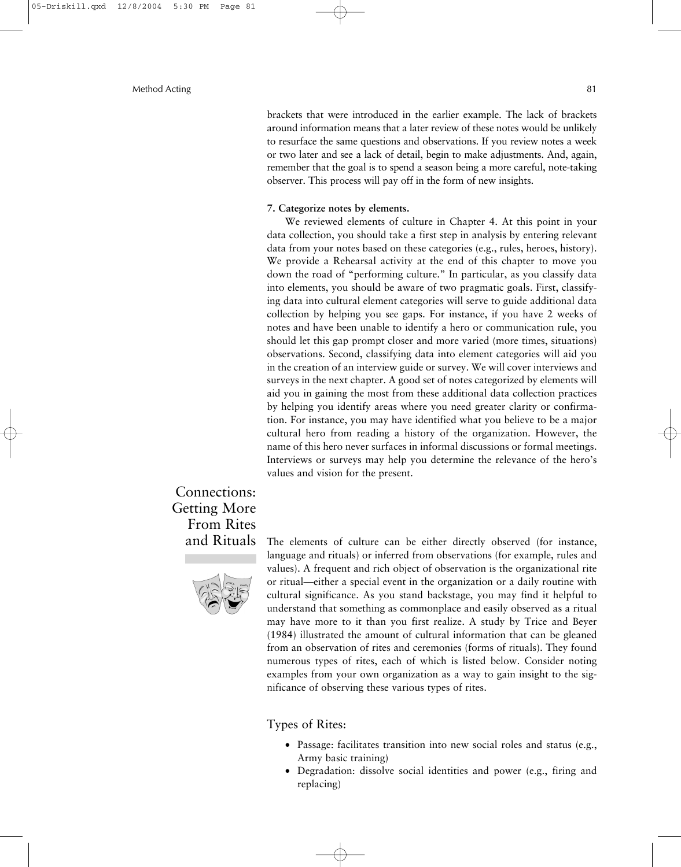brackets that were introduced in the earlier example. The lack of brackets around information means that a later review of these notes would be unlikely to resurface the same questions and observations. If you review notes a week or two later and see a lack of detail, begin to make adjustments. And, again, remember that the goal is to spend a season being a more careful, note-taking observer. This process will pay off in the form of new insights.

#### **7. Categorize notes by elements.**

We reviewed elements of culture in Chapter 4. At this point in your data collection, you should take a first step in analysis by entering relevant data from your notes based on these categories (e.g., rules, heroes, history). We provide a Rehearsal activity at the end of this chapter to move you down the road of "performing culture." In particular, as you classify data into elements, you should be aware of two pragmatic goals. First, classifying data into cultural element categories will serve to guide additional data collection by helping you see gaps. For instance, if you have 2 weeks of notes and have been unable to identify a hero or communication rule, you should let this gap prompt closer and more varied (more times, situations) observations. Second, classifying data into element categories will aid you in the creation of an interview guide or survey. We will cover interviews and surveys in the next chapter. A good set of notes categorized by elements will aid you in gaining the most from these additional data collection practices by helping you identify areas where you need greater clarity or confirmation. For instance, you may have identified what you believe to be a major cultural hero from reading a history of the organization. However, the name of this hero never surfaces in informal discussions or formal meetings. Interviews or surveys may help you determine the relevance of the hero's values and vision for the present.

Connections: Getting More From Rites and Rituals



The elements of culture can be either directly observed (for instance, language and rituals) or inferred from observations (for example, rules and values). A frequent and rich object of observation is the organizational rite or ritual—either a special event in the organization or a daily routine with cultural significance. As you stand backstage, you may find it helpful to understand that something as commonplace and easily observed as a ritual may have more to it than you first realize. A study by Trice and Beyer (1984) illustrated the amount of cultural information that can be gleaned from an observation of rites and ceremonies (forms of rituals). They found numerous types of rites, each of which is listed below. Consider noting examples from your own organization as a way to gain insight to the significance of observing these various types of rites.

Types of Rites:

- Passage: facilitates transition into new social roles and status (e.g., Army basic training)
- Degradation: dissolve social identities and power (e.g., firing and replacing)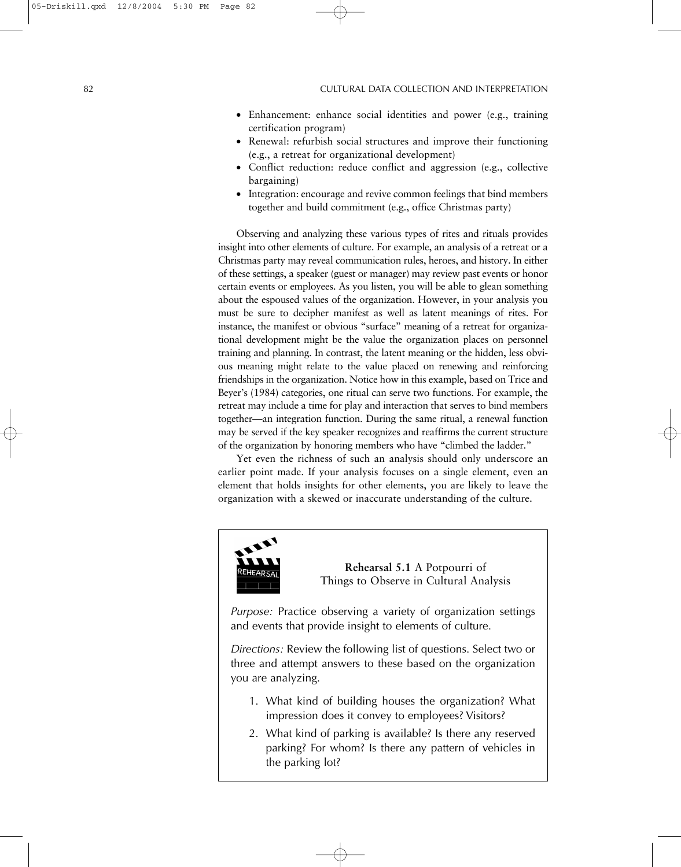- Enhancement: enhance social identities and power (e.g., training certification program)
- Renewal: refurbish social structures and improve their functioning (e.g., a retreat for organizational development)
- Conflict reduction: reduce conflict and aggression (e.g., collective bargaining)
- Integration: encourage and revive common feelings that bind members together and build commitment (e.g., office Christmas party)

Observing and analyzing these various types of rites and rituals provides insight into other elements of culture. For example, an analysis of a retreat or a Christmas party may reveal communication rules, heroes, and history. In either of these settings, a speaker (guest or manager) may review past events or honor certain events or employees. As you listen, you will be able to glean something about the espoused values of the organization. However, in your analysis you must be sure to decipher manifest as well as latent meanings of rites. For instance, the manifest or obvious "surface" meaning of a retreat for organizational development might be the value the organization places on personnel training and planning. In contrast, the latent meaning or the hidden, less obvious meaning might relate to the value placed on renewing and reinforcing friendships in the organization. Notice how in this example, based on Trice and Beyer's (1984) categories, one ritual can serve two functions. For example, the retreat may include a time for play and interaction that serves to bind members together—an integration function. During the same ritual, a renewal function may be served if the key speaker recognizes and reaffirms the current structure of the organization by honoring members who have "climbed the ladder."

Yet even the richness of such an analysis should only underscore an earlier point made. If your analysis focuses on a single element, even an element that holds insights for other elements, you are likely to leave the organization with a skewed or inaccurate understanding of the culture.



**Rehearsal 5.1** A Potpourri of Things to Observe in Cultural Analysis

*Purpose:* Practice observing a variety of organization settings and events that provide insight to elements of culture.

*Directions:* Review the following list of questions. Select two or three and attempt answers to these based on the organization you are analyzing.

- 1. What kind of building houses the organization? What impression does it convey to employees? Visitors?
- 2. What kind of parking is available? Is there any reserved parking? For whom? Is there any pattern of vehicles in the parking lot?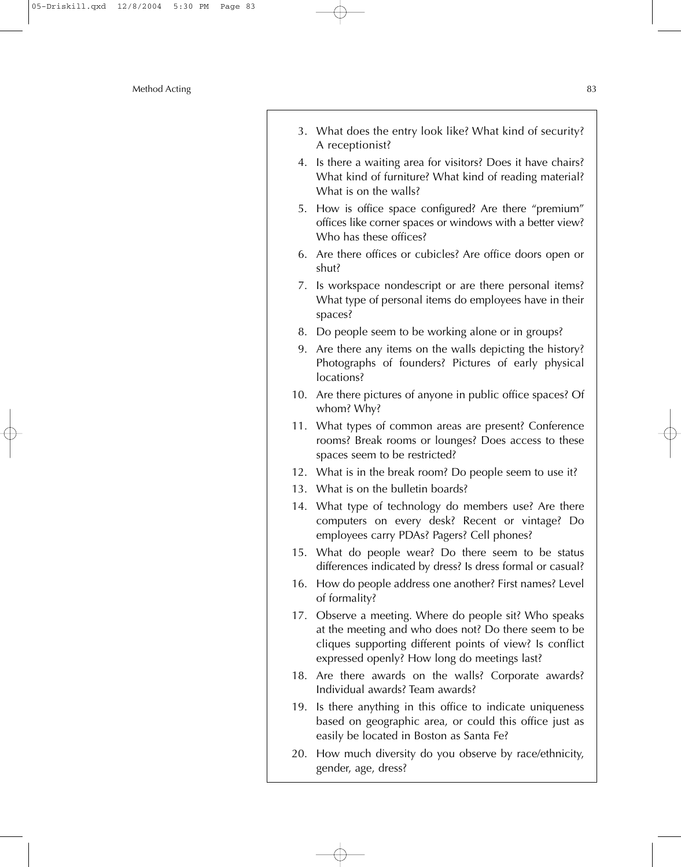| 3. What does the entry look like? What kind of security? |
|----------------------------------------------------------|
| A receptionist?                                          |

- 4. Is there a waiting area for visitors? Does it have chairs? What kind of furniture? What kind of reading material? What is on the walls?
- 5. How is office space configured? Are there "premium" offices like corner spaces or windows with a better view? Who has these offices?
- 6. Are there offices or cubicles? Are office doors open or shut?
- 7. Is workspace nondescript or are there personal items? What type of personal items do employees have in their spaces?
- 8. Do people seem to be working alone or in groups?
- 9. Are there any items on the walls depicting the history? Photographs of founders? Pictures of early physical locations?
- 10. Are there pictures of anyone in public office spaces? Of whom? Why?
- 11. What types of common areas are present? Conference rooms? Break rooms or lounges? Does access to these spaces seem to be restricted?
- 12. What is in the break room? Do people seem to use it?
- 13. What is on the bulletin boards?
- 14. What type of technology do members use? Are there computers on every desk? Recent or vintage? Do employees carry PDAs? Pagers? Cell phones?
- 15. What do people wear? Do there seem to be status differences indicated by dress? Is dress formal or casual?
- 16. How do people address one another? First names? Level of formality?
- 17. Observe a meeting. Where do people sit? Who speaks at the meeting and who does not? Do there seem to be cliques supporting different points of view? Is conflict expressed openly? How long do meetings last?
- 18. Are there awards on the walls? Corporate awards? Individual awards? Team awards?
- 19. Is there anything in this office to indicate uniqueness based on geographic area, or could this office just as easily be located in Boston as Santa Fe?
- 20. How much diversity do you observe by race/ethnicity, gender, age, dress?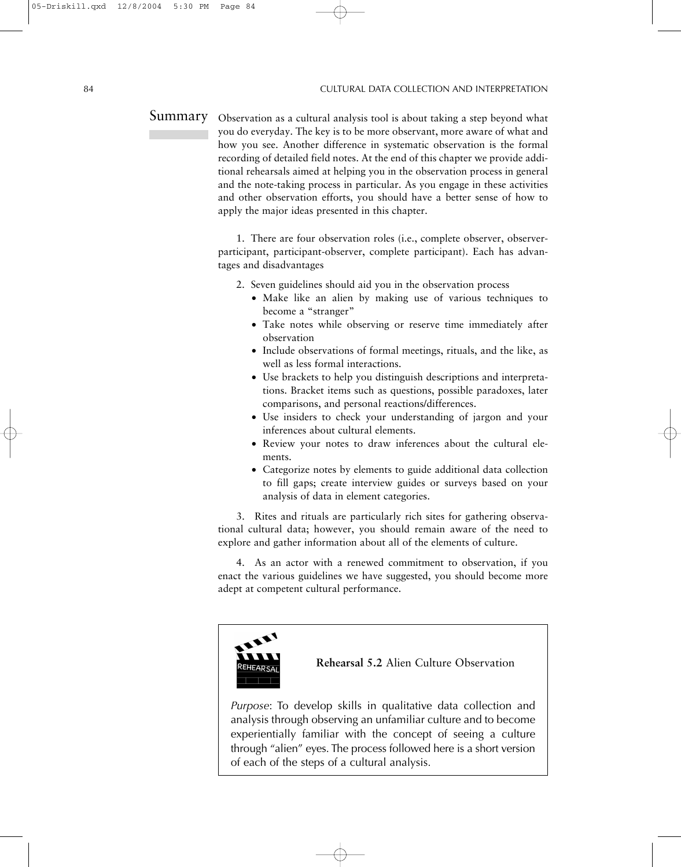Observation as a cultural analysis tool is about taking a step beyond what you do everyday. The key is to be more observant, more aware of what and how you see. Another difference in systematic observation is the formal recording of detailed field notes. At the end of this chapter we provide additional rehearsals aimed at helping you in the observation process in general and the note-taking process in particular. As you engage in these activities and other observation efforts, you should have a better sense of how to apply the major ideas presented in this chapter.

1. There are four observation roles (i.e., complete observer, observerparticipant, participant-observer, complete participant). Each has advantages and disadvantages

- 2. Seven guidelines should aid you in the observation process
	- Make like an alien by making use of various techniques to become a "stranger"
	- Take notes while observing or reserve time immediately after observation
	- Include observations of formal meetings, rituals, and the like, as well as less formal interactions.
	- Use brackets to help you distinguish descriptions and interpretations. Bracket items such as questions, possible paradoxes, later comparisons, and personal reactions/differences.
	- Use insiders to check your understanding of jargon and your inferences about cultural elements.
	- Review your notes to draw inferences about the cultural elements.
	- Categorize notes by elements to guide additional data collection to fill gaps; create interview guides or surveys based on your analysis of data in element categories.

3. Rites and rituals are particularly rich sites for gathering observational cultural data; however, you should remain aware of the need to explore and gather information about all of the elements of culture.

4. As an actor with a renewed commitment to observation, if you enact the various guidelines we have suggested, you should become more adept at competent cultural performance.



**Rehearsal 5.2** Alien Culture Observation

*Purpose*: To develop skills in qualitative data collection and analysis through observing an unfamiliar culture and to become experientially familiar with the concept of seeing a culture through "alien" eyes. The process followed here is a short version of each of the steps of a cultural analysis.

Summary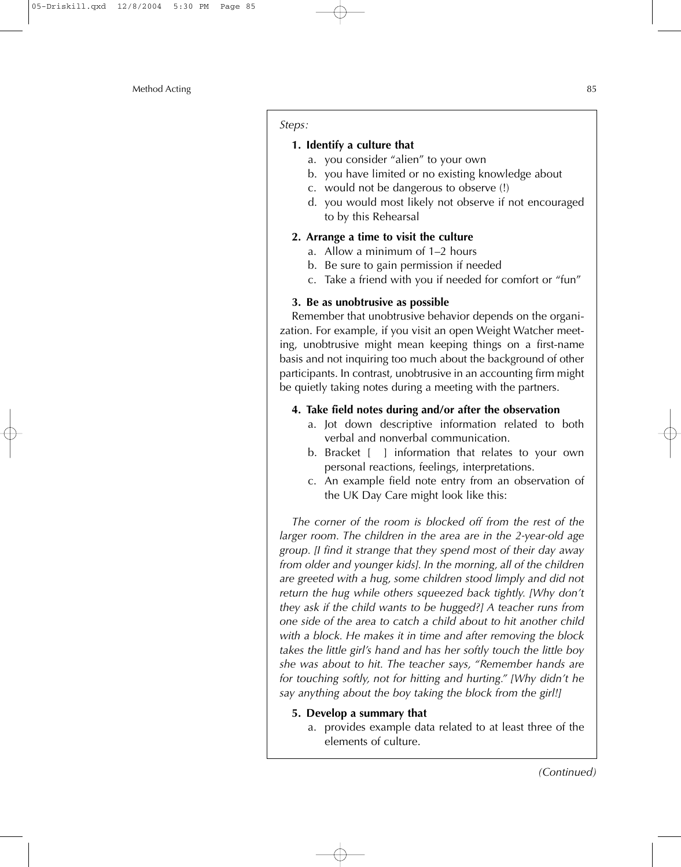#### *Steps:*

#### **1. Identify a culture that**

- a. you consider "alien" to your own
- b. you have limited or no existing knowledge about
- c. would not be dangerous to observe (!)
- d. you would most likely not observe if not encouraged to by this Rehearsal

#### **2. Arrange a time to visit the culture**

- a. Allow a minimum of 1–2 hours
- b. Be sure to gain permission if needed
- c. Take a friend with you if needed for comfort or "fun"

#### **3. Be as unobtrusive as possible**

Remember that unobtrusive behavior depends on the organization. For example, if you visit an open Weight Watcher meeting, unobtrusive might mean keeping things on a first-name basis and not inquiring too much about the background of other participants. In contrast, unobtrusive in an accounting firm might be quietly taking notes during a meeting with the partners.

#### **4. Take field notes during and/or after the observation**

- a. Jot down descriptive information related to both verbal and nonverbal communication.
- b. Bracket [ ] information that relates to your own personal reactions, feelings, interpretations.
- c. An example field note entry from an observation of the UK Day Care might look like this:

*The corner of the room is blocked off from the rest of the larger room. The children in the area are in the 2-year-old age group. [I find it strange that they spend most of their day away from older and younger kids]. In the morning, all of the children are greeted with a hug, some children stood limply and did not return the hug while others squeezed back tightly. [Why don't they ask if the child wants to be hugged?] A teacher runs from one side of the area to catch a child about to hit another child with a block. He makes it in time and after removing the block takes the little girl's hand and has her softly touch the little boy she was about to hit. The teacher says, "Remember hands are for touching softly, not for hitting and hurting." [Why didn't he say anything about the boy taking the block from the girl!]*

- **5. Develop a summary that**
	- a. provides example data related to at least three of the elements of culture.

*(Continued)*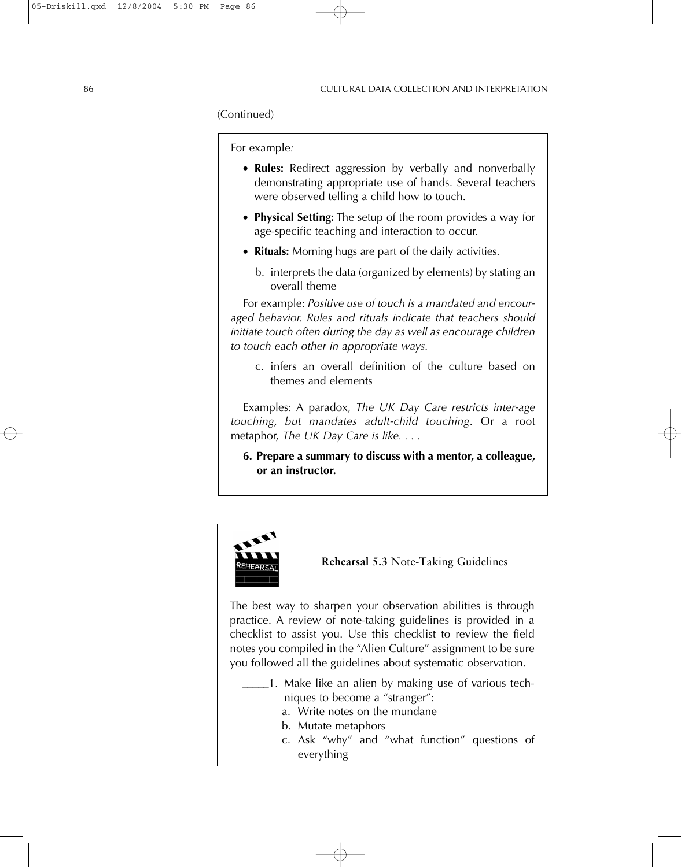(Continued)

For example*:*

- **Rules:** Redirect aggression by verbally and nonverbally demonstrating appropriate use of hands. Several teachers were observed telling a child how to touch.
- **Physical Setting:** The setup of the room provides a way for age-specific teaching and interaction to occur.
- **Rituals:** Morning hugs are part of the daily activities.
	- b. interprets the data (organized by elements) by stating an overall theme

For example: *Positive use of touch is a mandated and encouraged behavior. Rules and rituals indicate that teachers should initiate touch often during the day as well as encourage children to touch each other in appropriate ways.*

c. infers an overall definition of the culture based on themes and elements

Examples: A paradox, *The UK Day Care restricts inter-age touching, but mandates adult-child touching*. Or a root metaphor, *The UK Day Care is like. . . .*

**6. Prepare a summary to discuss with a mentor, a colleague, or an instructor.**



**Rehearsal 5.3** Note-Taking Guidelines

The best way to sharpen your observation abilities is through practice. A review of note-taking guidelines is provided in a checklist to assist you. Use this checklist to review the field notes you compiled in the "Alien Culture" assignment to be sure you followed all the guidelines about systematic observation.

- 1. Make like an alien by making use of various techniques to become a "stranger":
	- a. Write notes on the mundane
	- b. Mutate metaphors
	- c. Ask "why" and "what function" questions of everything